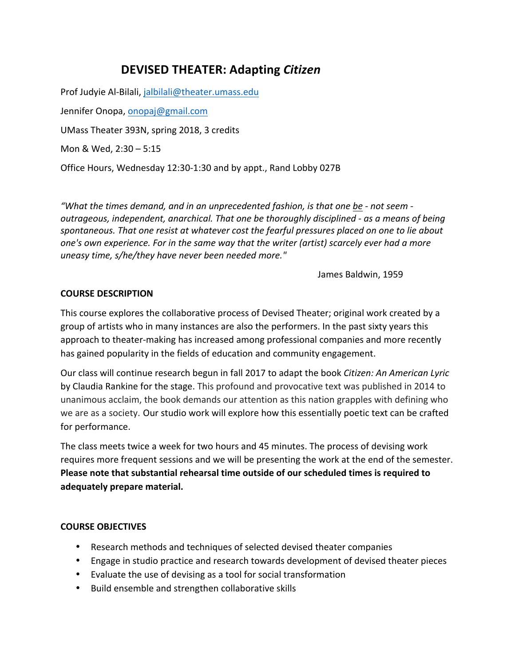# **DEVISED THEATER: Adapting** *Citizen*

Prof Judyie Al-Bilali, jalbilali@theater.umass.edu Jennifer Onopa, onopaj@gmail.com UMass Theater 393N, spring 2018, 3 credits Mon & Wed, 2:30 - 5:15 Office Hours, Wednesday 12:30-1:30 and by appt., Rand Lobby 027B

*"What the times demand, and in an unprecedented fashion, is that one be - not seem outrageous, independent, anarchical. That one be thoroughly disciplined - as a means of being* spontaneous. That one resist at whatever cost the fearful pressures placed on one to lie about *one's* own experience. For in the same way that the writer (artist) scarcely ever had a more *uneasy time, s/he/they have never been needed more."*

James Baldwin, 1959

#### **COURSE DESCRIPTION**

This course explores the collaborative process of Devised Theater; original work created by a group of artists who in many instances are also the performers. In the past sixty years this approach to theater-making has increased among professional companies and more recently has gained popularity in the fields of education and community engagement.

Our class will continue research begun in fall 2017 to adapt the book *Citizen: An American Lyric* by Claudia Rankine for the stage. This profound and provocative text was published in 2014 to unanimous acclaim, the book demands our attention as this nation grapples with defining who we are as a society. Our studio work will explore how this essentially poetic text can be crafted for performance.

The class meets twice a week for two hours and 45 minutes. The process of devising work requires more frequent sessions and we will be presenting the work at the end of the semester. **Please note that substantial rehearsal time outside of our scheduled times is required to adequately prepare material.**

#### **COURSE OBJECTIVES**

- Research methods and techniques of selected devised theater companies
- Engage in studio practice and research towards development of devised theater pieces
- Evaluate the use of devising as a tool for social transformation
- Build ensemble and strengthen collaborative skills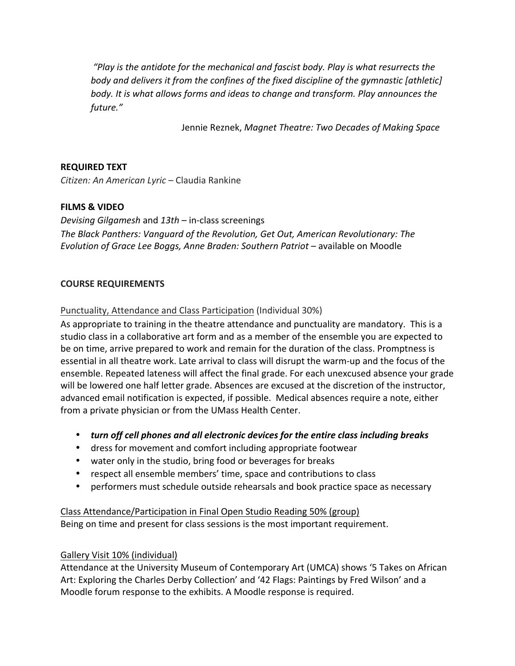"Play is the antidote for the mechanical and fascist body. Play is what resurrects the *body* and delivers it from the confines of the fixed discipline of the gymnastic [athletic] *body.* It is what allows forms and ideas to change and transform. Play announces the *future."*

Jennie Reznek, Magnet Theatre: Two Decades of Making Space

#### **REQUIRED TEXT**

*Citizen: An American Lyric* – Claudia Rankine

## **FILMS & VIDEO**

*Devising Gilgamesh* and  $13th$  – in-class screenings The Black Panthers: Vanguard of the Revolution, Get Out, American Revolutionary: The *Evolution of Grace Lee Boggs, Anne Braden: Southern Patriot* – available on Moodle

#### **COURSE REQUIREMENTS**

Punctuality, Attendance and Class Participation (Individual 30%)

As appropriate to training in the theatre attendance and punctuality are mandatory. This is a studio class in a collaborative art form and as a member of the ensemble you are expected to be on time, arrive prepared to work and remain for the duration of the class. Promptness is essential in all theatre work. Late arrival to class will disrupt the warm-up and the focus of the ensemble. Repeated lateness will affect the final grade. For each unexcused absence your grade will be lowered one half letter grade. Absences are excused at the discretion of the instructor, advanced email notification is expected, if possible. Medical absences require a note, either from a private physician or from the UMass Health Center.

- *turn off cell phones and all electronic devices for the entire class including breaks*
- dress for movement and comfort including appropriate footwear
- water only in the studio, bring food or beverages for breaks
- respect all ensemble members' time, space and contributions to class
- performers must schedule outside rehearsals and book practice space as necessary

# Class Attendance/Participation in Final Open Studio Reading 50% (group) Being on time and present for class sessions is the most important requirement.

#### Gallery Visit 10% (individual)

Attendance at the University Museum of Contemporary Art (UMCA) shows '5 Takes on African Art: Exploring the Charles Derby Collection' and '42 Flags: Paintings by Fred Wilson' and a Moodle forum response to the exhibits. A Moodle response is required.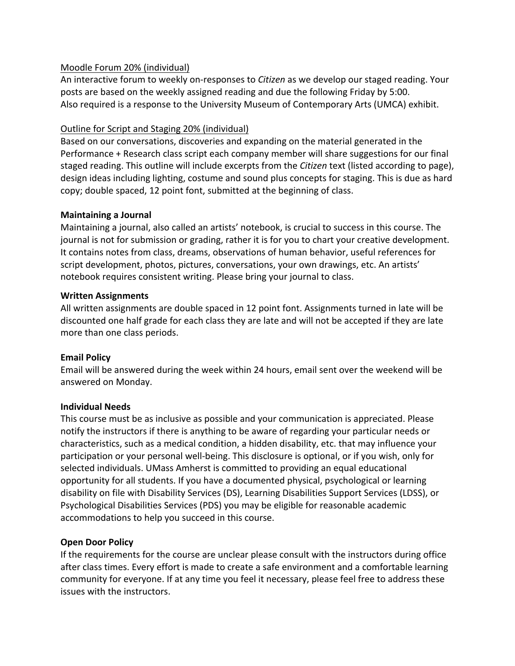#### Moodle Forum 20% (individual)

An interactive forum to weekly on-responses to *Citizen* as we develop our staged reading. Your posts are based on the weekly assigned reading and due the following Friday by 5:00. Also required is a response to the University Museum of Contemporary Arts (UMCA) exhibit.

#### Outline for Script and Staging 20% (individual)

Based on our conversations, discoveries and expanding on the material generated in the Performance + Research class script each company member will share suggestions for our final staged reading. This outline will include excerpts from the *Citizen* text (listed according to page), design ideas including lighting, costume and sound plus concepts for staging. This is due as hard copy; double spaced, 12 point font, submitted at the beginning of class.

#### **Maintaining a Journal**

Maintaining a journal, also called an artists' notebook, is crucial to success in this course. The journal is not for submission or grading, rather it is for you to chart your creative development. It contains notes from class, dreams, observations of human behavior, useful references for script development, photos, pictures, conversations, your own drawings, etc. An artists' notebook requires consistent writing. Please bring your journal to class.

#### **Written Assignments**

All written assignments are double spaced in 12 point font. Assignments turned in late will be discounted one half grade for each class they are late and will not be accepted if they are late more than one class periods.

#### **Email Policy**

Email will be answered during the week within 24 hours, email sent over the weekend will be answered on Monday.

#### **Individual Needs**

This course must be as inclusive as possible and your communication is appreciated. Please notify the instructors if there is anything to be aware of regarding your particular needs or characteristics, such as a medical condition, a hidden disability, etc. that may influence your participation or your personal well-being. This disclosure is optional, or if you wish, only for selected individuals. UMass Amherst is committed to providing an equal educational opportunity for all students. If you have a documented physical, psychological or learning disability on file with Disability Services (DS), Learning Disabilities Support Services (LDSS), or Psychological Disabilities Services (PDS) you may be eligible for reasonable academic accommodations to help you succeed in this course.

#### **Open Door Policy**

If the requirements for the course are unclear please consult with the instructors during office after class times. Every effort is made to create a safe environment and a comfortable learning community for everyone. If at any time you feel it necessary, please feel free to address these issues with the instructors.